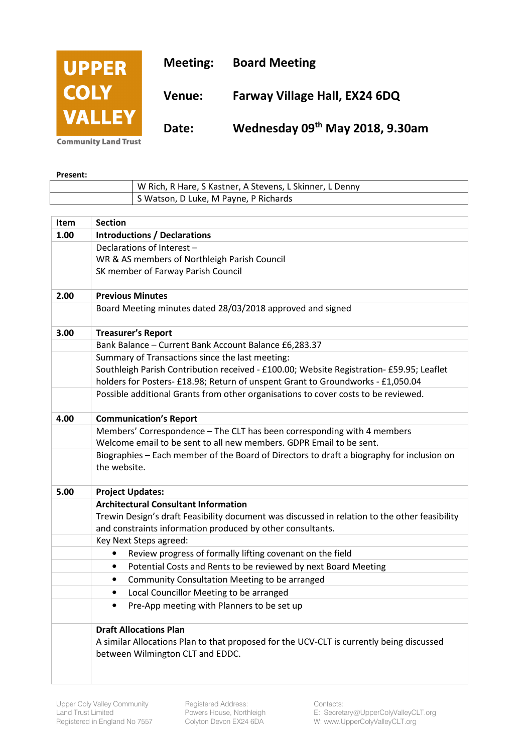

**Community Land Trust** 

**Present:** 

| W Rich, R Hare, S Kastner, A Stevens, L Skinner, L Denny |
|----------------------------------------------------------|
| S Watson, D Luke, M Payne, P Richards                    |
|                                                          |

| Item | <b>Section</b>                                                                                            |
|------|-----------------------------------------------------------------------------------------------------------|
| 1.00 | <b>Introductions / Declarations</b>                                                                       |
|      | Declarations of Interest -                                                                                |
|      | WR & AS members of Northleigh Parish Council                                                              |
|      | SK member of Farway Parish Council                                                                        |
| 2.00 | <b>Previous Minutes</b>                                                                                   |
|      | Board Meeting minutes dated 28/03/2018 approved and signed                                                |
| 3.00 | <b>Treasurer's Report</b>                                                                                 |
|      | Bank Balance - Current Bank Account Balance £6,283.37                                                     |
|      | Summary of Transactions since the last meeting:                                                           |
|      | Southleigh Parish Contribution received - £100.00; Website Registration- £59.95; Leaflet                  |
|      | holders for Posters- £18.98; Return of unspent Grant to Groundworks - £1,050.04                           |
|      | Possible additional Grants from other organisations to cover costs to be reviewed.                        |
| 4.00 | <b>Communication's Report</b>                                                                             |
|      | Members' Correspondence - The CLT has been corresponding with 4 members                                   |
|      | Welcome email to be sent to all new members. GDPR Email to be sent.                                       |
|      | Biographies - Each member of the Board of Directors to draft a biography for inclusion on<br>the website. |
|      |                                                                                                           |
| 5.00 | <b>Project Updates:</b>                                                                                   |
|      | <b>Architectural Consultant Information</b>                                                               |
|      | Trewin Design's draft Feasibility document was discussed in relation to the other feasibility             |
|      | and constraints information produced by other consultants.                                                |
|      | Key Next Steps agreed:                                                                                    |
|      | Review progress of formally lifting covenant on the field<br>$\bullet$                                    |
|      | Potential Costs and Rents to be reviewed by next Board Meeting<br>$\bullet$                               |
|      | Community Consultation Meeting to be arranged<br>$\bullet$                                                |
|      | Local Councillor Meeting to be arranged<br>$\bullet$                                                      |
|      | Pre-App meeting with Planners to be set up<br>$\bullet$                                                   |
|      | <b>Draft Allocations Plan</b>                                                                             |
|      | A similar Allocations Plan to that proposed for the UCV-CLT is currently being discussed                  |
|      | between Wilmington CLT and EDDC.                                                                          |
|      |                                                                                                           |
|      |                                                                                                           |